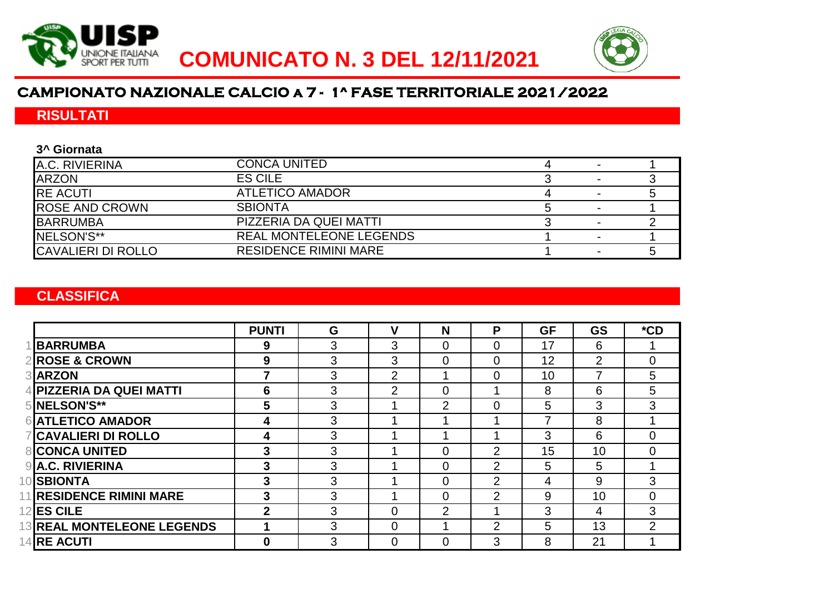



## **CAMPIONATO NAZIONALE CALCIO a 7 - 1^ FASE TERRITORIALE 2021/2022**

### **RISULTATI**

#### **3^ Giornata**

| A.C. RIVIERINA            | <b>CONCA UNITED</b>            |  |  |
|---------------------------|--------------------------------|--|--|
| <b>ARZON</b>              | <b>ES CILE</b>                 |  |  |
| <b>RE ACUTI</b>           | ATLETICO AMADOR                |  |  |
| <b>ROSE AND CROWN</b>     | <b>SBIONTA</b>                 |  |  |
| <b>BARRUMBA</b>           | PIZZERIA DA QUEI MATTI         |  |  |
| INELSON'S**               | <b>REAL MONTELEONE LEGENDS</b> |  |  |
| <b>CAVALIERI DI ROLLO</b> | <b>RESIDENCE RIMINI MARE</b>   |  |  |

### **CLASSIFICA**

|                                   | <b>PUNTI</b> | G | v              | N              | P              | <b>GF</b> | <b>GS</b> | $*$ CD         |
|-----------------------------------|--------------|---|----------------|----------------|----------------|-----------|-----------|----------------|
| <b>BARRUMBA</b>                   | 9            | 3 | 3              | $\overline{0}$ | $\overline{0}$ | 17        | 6         |                |
| <b>2 ROSE &amp; CROWN</b>         | 9            | 3 | 3              | $\overline{0}$ | $\overline{0}$ | 12        | 2         | $\Omega$       |
| 3 ARZON                           |              | 3 | $\overline{2}$ |                | $\overline{0}$ | 10        |           | 5              |
| 4 PIZZERIA DA QUEI MATTI          | 6            | 3 | $\overline{2}$ | 0              |                | 8         | 6         | 5              |
| 5 NELSON'S**                      | 5            | 3 |                | 2              | $\Omega$       | 5         | 3         | 3              |
| <b>6 ATLETICO AMADOR</b>          | 4            | 3 |                |                |                | 7         | 8         |                |
| <b>7 CAVALIERI DI ROLLO</b>       | 4            | 3 |                |                |                | 3         | 6         | $\Omega$       |
| <b>8 CONCA UNITED</b>             | 3            | 3 |                | $\overline{0}$ | 2              | 15        | 10        | $\Omega$       |
| <b>9</b> A.C. RIVIERINA           | 3            | 3 |                | $\overline{0}$ | 2              | 5         | 5         |                |
| 10 <b>SBIONTA</b>                 | 3            | 3 |                | $\overline{0}$ | 2              | 4         | 9         | 3              |
| 11 RESIDENCE RIMINI MARE          | 3            | 3 |                | $\overline{0}$ | 2              | 9         | 10        | $\Omega$       |
| <b>12 ES CILE</b>                 | $\mathbf{2}$ | 3 | 0              | $\overline{2}$ |                | 3         | 4         | 3              |
| <b>13 REAL MONTELEONE LEGENDS</b> |              | 3 | 0              |                | $\overline{2}$ | 5         | 13        | $\overline{2}$ |
| <b>14RE ACUTI</b>                 | $\bf{0}$     | 3 | 0              | 0              | 3              | 8         | 21        |                |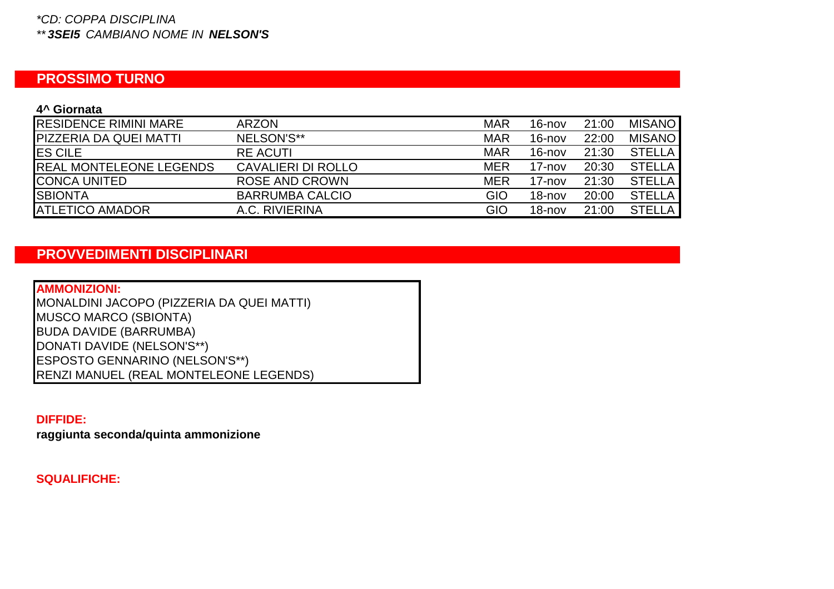#### *\*CD: COPPA DISCIPLINA \*\* 3SEI5 CAMBIANO NOME IN NELSON'S*

# **PROSSIMO TURNO**

#### **4^ Giornata**

| <b>RESIDENCE RIMINI MARE</b>   | <b>ARZON</b>           | <b>MAR</b> | $16 - nov$ | 21:00 | <b>MISANO</b> |
|--------------------------------|------------------------|------------|------------|-------|---------------|
| <b>PIZZERIA DA QUEI MATTI</b>  | NELSON'S**             | <b>MAR</b> | $16 - nov$ | 22:00 | <b>MISANO</b> |
| <b>IES CILE</b>                | <b>RE ACUTI</b>        | <b>MAR</b> | $16 - nov$ | 21:30 | <b>STELLA</b> |
| <b>REAL MONTELEONE LEGENDS</b> | CAVALIERI DI ROLLO     | <b>MER</b> | $17 - nov$ | 20:30 | <b>STELLA</b> |
| <b>CONCA UNITED</b>            | <b>ROSE AND CROWN</b>  | <b>MER</b> | $17 - nov$ | 21:30 | <b>STELLA</b> |
| <b>SBIONTA</b>                 | <b>BARRUMBA CALCIO</b> | <b>GIO</b> | $18 - nov$ | 20:00 | <b>STELLA</b> |
| <b>ATLETICO AMADOR</b>         | A.C. RIVIERINA         | GIO        | $18 - nov$ | 21:00 | <b>STELLA</b> |

# **PROVVEDIMENTI DISCIPLINARI**

| <b>AMMONIZIONI:</b>                       |
|-------------------------------------------|
| MONALDINI JACOPO (PIZZERIA DA QUEI MATTI) |
| <b>MUSCO MARCO (SBIONTA)</b>              |
| <b>BUDA DAVIDE (BARRUMBA)</b>             |
| DONATI DAVIDE (NELSON'S**)                |
| ESPOSTO GENNARINO (NELSON'S**)            |
| RENZI MANUEL (REAL MONTELEONE LEGENDS)    |

### **DIFFIDE:**

**raggiunta seconda/quinta ammonizione**

**SQUALIFICHE:**